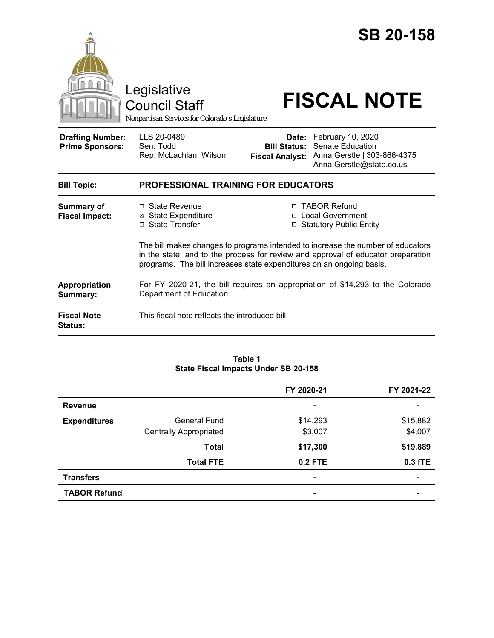|                                                   | Legislative<br><b>Council Staff</b><br>Nonpartisan Services for Colorado's Legislature                                                         |                                                        | <b>SB 20-158</b><br><b>FISCAL NOTE</b>                                                                                                                                                                                                        |  |  |
|---------------------------------------------------|------------------------------------------------------------------------------------------------------------------------------------------------|--------------------------------------------------------|-----------------------------------------------------------------------------------------------------------------------------------------------------------------------------------------------------------------------------------------------|--|--|
| <b>Drafting Number:</b><br><b>Prime Sponsors:</b> | LLS 20-0489<br>Sen. Todd<br>Rep. McLachlan; Wilson                                                                                             | Date:<br><b>Bill Status:</b><br><b>Fiscal Analyst:</b> | February 10, 2020<br>Senate Education<br>Anna Gerstle   303-866-4375<br>Anna.Gerstle@state.co.us                                                                                                                                              |  |  |
| <b>Bill Topic:</b>                                | PROFESSIONAL TRAINING FOR EDUCATORS                                                                                                            |                                                        |                                                                                                                                                                                                                                               |  |  |
| <b>Summary of</b><br><b>Fiscal Impact:</b>        | $\Box$ State Revenue<br><b>⊠</b> State Expenditure<br>□ State Transfer<br>programs. The bill increases state expenditures on an ongoing basis. | $\Box$                                                 | □ TABOR Refund<br>□ Local Government<br><b>Statutory Public Entity</b><br>The bill makes changes to programs intended to increase the number of educators<br>in the state, and to the process for review and approval of educator preparation |  |  |
| Appropriation<br>Summary:                         | For FY 2020-21, the bill requires an appropriation of \$14,293 to the Colorado<br>Department of Education.                                     |                                                        |                                                                                                                                                                                                                                               |  |  |
| <b>Fiscal Note</b><br><b>Status:</b>              | This fiscal note reflects the introduced bill.                                                                                                 |                                                        |                                                                                                                                                                                                                                               |  |  |

#### **Table 1 State Fiscal Impacts Under SB 20-158**

|                     |                               | FY 2020-21                   | FY 2021-22 |
|---------------------|-------------------------------|------------------------------|------------|
| <b>Revenue</b>      |                               | $\overline{\phantom{a}}$     |            |
| <b>Expenditures</b> | General Fund                  | \$14,293                     | \$15,882   |
|                     | <b>Centrally Appropriated</b> | \$3,007                      | \$4,007    |
|                     | <b>Total</b>                  | \$17,300                     | \$19,889   |
|                     | <b>Total FTE</b>              | $0.2$ FTE                    | $0.3$ fTE  |
| <b>Transfers</b>    |                               | $\qquad \qquad \blacksquare$ | -          |
| <b>TABOR Refund</b> |                               | $\overline{\phantom{a}}$     |            |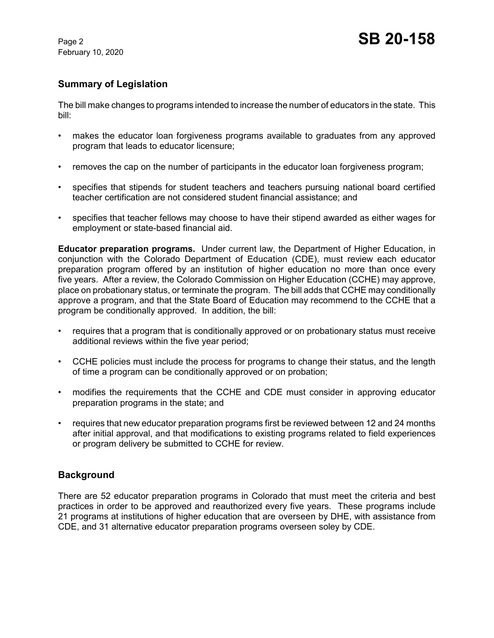February 10, 2020

# **Summary of Legislation**

The bill make changes to programs intended to increase the number of educators in the state. This bill:

- makes the educator loan forgiveness programs available to graduates from any approved program that leads to educator licensure;
- removes the cap on the number of participants in the educator loan forgiveness program;
- specifies that stipends for student teachers and teachers pursuing national board certified teacher certification are not considered student financial assistance; and
- specifies that teacher fellows may choose to have their stipend awarded as either wages for employment or state-based financial aid.

**Educator preparation programs.** Under current law, the Department of Higher Education, in conjunction with the Colorado Department of Education (CDE), must review each educator preparation program offered by an institution of higher education no more than once every five years. After a review, the Colorado Commission on Higher Education (CCHE) may approve, place on probationary status, or terminate the program. The bill adds that CCHE may conditionally approve a program, and that the State Board of Education may recommend to the CCHE that a program be conditionally approved. In addition, the bill:

- requires that a program that is conditionally approved or on probationary status must receive additional reviews within the five year period;
- CCHE policies must include the process for programs to change their status, and the length of time a program can be conditionally approved or on probation;
- modifies the requirements that the CCHE and CDE must consider in approving educator preparation programs in the state; and
- requires that new educator preparation programs first be reviewed between 12 and 24 months after initial approval, and that modifications to existing programs related to field experiences or program delivery be submitted to CCHE for review.

# **Background**

There are 52 educator preparation programs in Colorado that must meet the criteria and best practices in order to be approved and reauthorized every five years. These programs include 21 programs at institutions of higher education that are overseen by DHE, with assistance from CDE, and 31 alternative educator preparation programs overseen soley by CDE.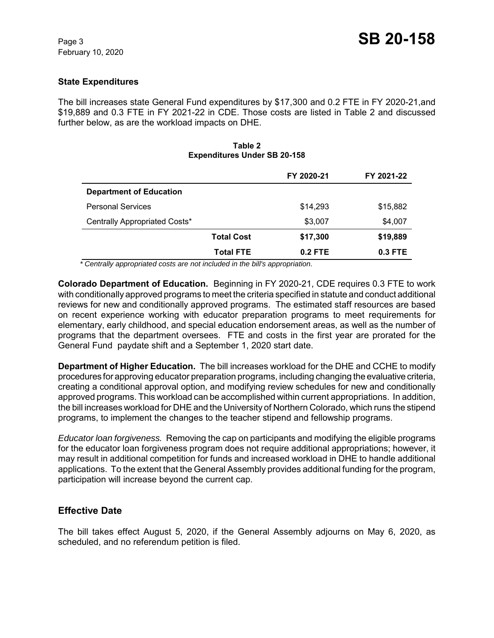### **State Expenditures**

The bill increases state General Fund expenditures by \$17,300 and 0.2 FTE in FY 2020-21,and \$19,889 and 0.3 FTE in FY 2021-22 in CDE. Those costs are listed in Table 2 and discussed further below, as are the workload impacts on DHE.

#### **Table 2 Expenditures Under SB 20-158**

|                                |                   | FY 2020-21 | FY 2021-22 |
|--------------------------------|-------------------|------------|------------|
| <b>Department of Education</b> |                   |            |            |
| <b>Personal Services</b>       |                   | \$14,293   | \$15,882   |
| Centrally Appropriated Costs*  |                   | \$3,007    | \$4,007    |
|                                | <b>Total Cost</b> | \$17,300   | \$19,889   |
|                                | <b>Total FTE</b>  | $0.2$ FTE  | $0.3$ FTE  |

 *\* Centrally appropriated costs are not included in the bill's appropriation.*

**Colorado Department of Education.** Beginning in FY 2020-21, CDE requires 0.3 FTE to work with conditionally approved programs to meet the criteria specified in statute and conduct additional reviews for new and conditionally approved programs. The estimated staff resources are based on recent experience working with educator preparation programs to meet requirements for elementary, early childhood, and special education endorsement areas, as well as the number of programs that the department oversees. FTE and costs in the first year are prorated for the General Fund paydate shift and a September 1, 2020 start date.

**Department of Higher Education.** The bill increases workload for the DHE and CCHE to modify procedures for approving educator preparation programs, including changing the evaluative criteria, creating a conditional approval option, and modifying review schedules for new and conditionally approved programs. This workload can be accomplished within current appropriations. In addition, the bill increases workload for DHE and the University of Northern Colorado, which runs the stipend programs, to implement the changes to the teacher stipend and fellowship programs.

*Educator loan forgiveness.* Removing the cap on participants and modifying the eligible programs for the educator loan forgiveness program does not require additional appropriations; however, it may result in additional competition for funds and increased workload in DHE to handle additional applications. To the extent that the General Assembly provides additional funding for the program, participation will increase beyond the current cap.

### **Effective Date**

The bill takes effect August 5, 2020, if the General Assembly adjourns on May 6, 2020, as scheduled, and no referendum petition is filed.